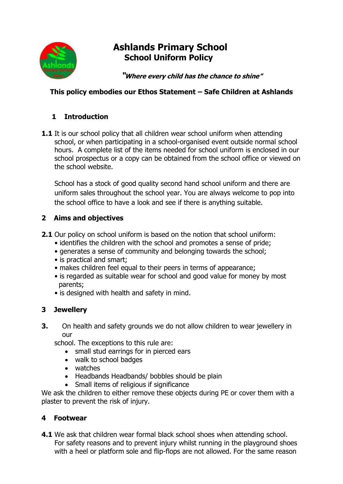

# **Ashlands Primary School School Uniform Policy**

**"Where every child has the chance to shine"**

#### **This policy embodies our Ethos Statement – Safe Children at Ashlands**

## **1 Introduction**

**1.1** It is our school policy that all children wear school uniform when attending school, or when participating in a school-organised event outside normal school hours. A complete list of the items needed for school uniform is enclosed in our school prospectus or a copy can be obtained from the school office or viewed on the school website.

School has a stock of good quality second hand school uniform and there are uniform sales throughout the school year. You are always welcome to pop into the school office to have a look and see if there is anything suitable.

#### **2 Aims and objectives**

- **2.1** Our policy on school uniform is based on the notion that school uniform:
	- identifies the children with the school and promotes a sense of pride;
	- generates a sense of community and belonging towards the school;
	- is practical and smart;
	- makes children feel equal to their peers in terms of appearance;
	- is regarded as suitable wear for school and good value for money by most parents;
	- is designed with health and safety in mind.

### **3 Jewellery**

**3.** On health and safety grounds we do not allow children to wear jewellery in our

school. The exceptions to this rule are:

- small stud earrings for in pierced ears
- walk to school badges
- watches
- Headbands Headbands/ bobbles should be plain
- Small items of religious if significance

We ask the children to either remove these objects during PE or cover them with a plaster to prevent the risk of injury.

### **4 Footwear**

**4.1** We ask that children wear formal black school shoes when attending school. For safety reasons and to prevent injury whilst running in the playground shoes with a heel or platform sole and flip-flops are not allowed. For the same reason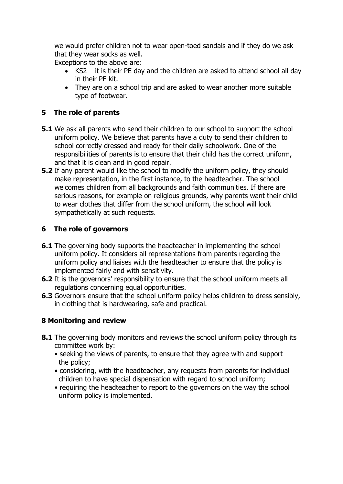we would prefer children not to wear open-toed sandals and if they do we ask that they wear socks as well.

Exceptions to the above are:

- KS2 it is their PE day and the children are asked to attend school all day in their PE kit.
- They are on a school trip and are asked to wear another more suitable type of footwear.

#### **5 The role of parents**

- **5.1** We ask all parents who send their children to our school to support the school uniform policy. We believe that parents have a duty to send their children to school correctly dressed and ready for their daily schoolwork. One of the responsibilities of parents is to ensure that their child has the correct uniform, and that it is clean and in good repair.
- **5.2** If any parent would like the school to modify the uniform policy, they should make representation, in the first instance, to the headteacher. The school welcomes children from all backgrounds and faith communities. If there are serious reasons, for example on religious grounds, why parents want their child to wear clothes that differ from the school uniform, the school will look sympathetically at such requests.

### **6 The role of governors**

- **6.1** The governing body supports the headteacher in implementing the school uniform policy. It considers all representations from parents regarding the uniform policy and liaises with the headteacher to ensure that the policy is implemented fairly and with sensitivity.
- **6.2** It is the governors' responsibility to ensure that the school uniform meets all regulations concerning equal opportunities.
- **6.3** Governors ensure that the school uniform policy helps children to dress sensibly, in clothing that is hardwearing, safe and practical.

### **8 Monitoring and review**

- **8.1** The governing body monitors and reviews the school uniform policy through its committee work by:
	- seeking the views of parents, to ensure that they agree with and support the policy;
	- considering, with the headteacher, any requests from parents for individual children to have special dispensation with regard to school uniform;
	- requiring the headteacher to report to the governors on the way the school uniform policy is implemented.